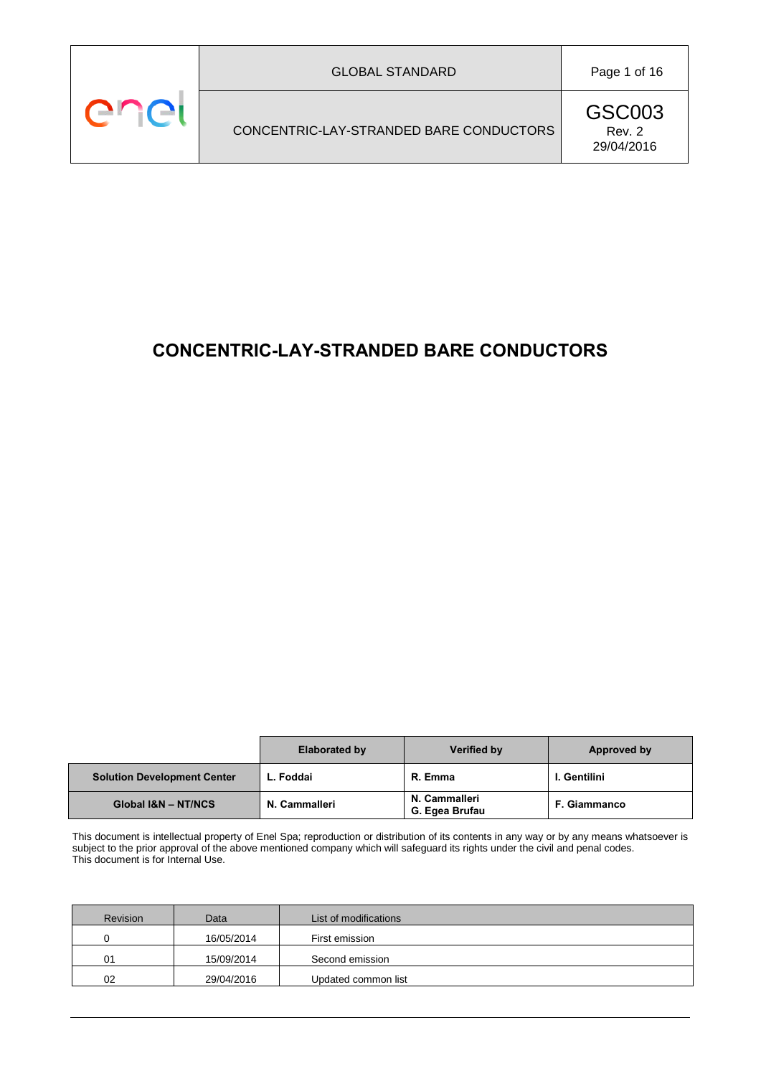# **CONCENTRIC-LAY-STRANDED BARE CONDUCTORS**

|                                    | <b>Elaborated by</b> | Verified by                     | Approved by         |
|------------------------------------|----------------------|---------------------------------|---------------------|
| <b>Solution Development Center</b> | L. Foddai            | R. Emma                         | I. Gentilini        |
| Global I&N - NT/NCS                | N. Cammalleri        | N. Cammalleri<br>G. Egea Brufau | <b>F. Giammanco</b> |

This document is intellectual property of Enel Spa; reproduction or distribution of its contents in any way or by any means whatsoever is subject to the prior approval of the above mentioned company which will safeguard its rights under the civil and penal codes. This document is for Internal Use.

| Revision | Data       | List of modifications |
|----------|------------|-----------------------|
|          | 16/05/2014 | First emission        |
| 01       | 15/09/2014 | Second emission       |
| 02       | 29/04/2016 | Updated common list   |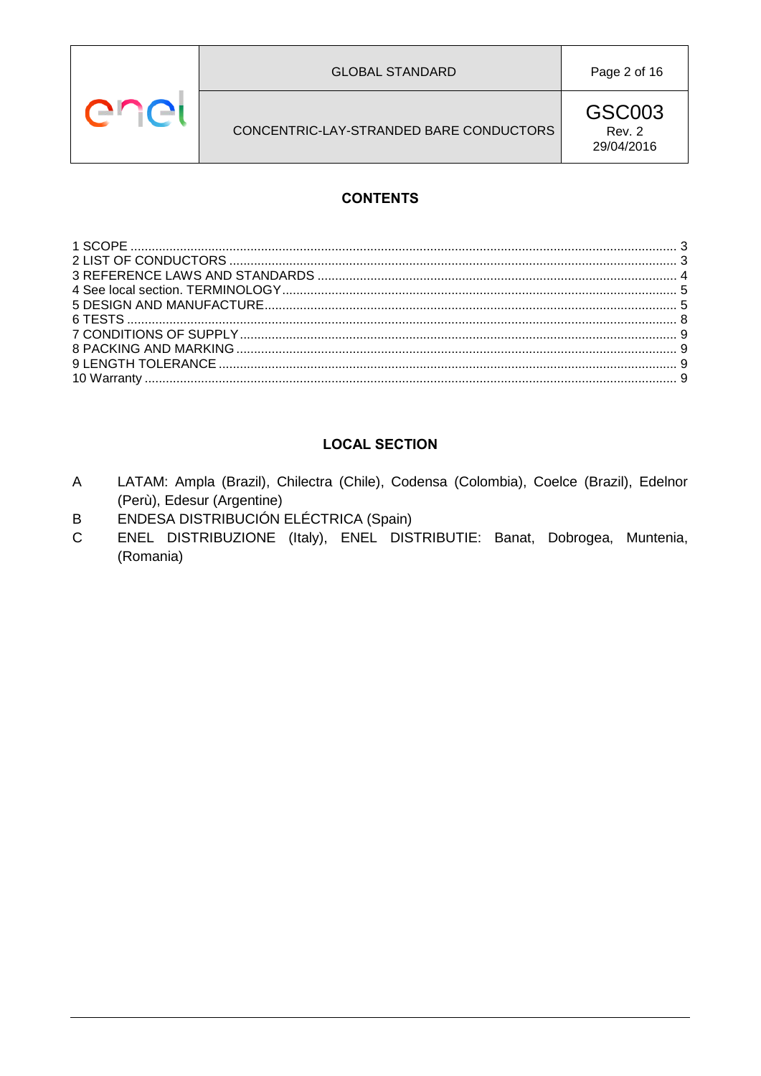



Page 2 of 16

CONCENTRIC-LAY-STRANDED BARE CONDUCTORS

**GSC003** Rev. 2 29/04/2016

# **CONTENTS**

# **LOCAL SECTION**

- LATAM: Ampla (Brazil), Chilectra (Chile), Codensa (Colombia), Coelce (Brazil), Edelnor  $\overline{A}$ (Perù), Edesur (Argentine)
- ENDESA DISTRIBUCIÓN ELÉCTRICA (Spain)  $\mathsf{B}$
- ENEL DISTRIBUZIONE (Italy), ENEL DISTRIBUTIE: Banat, Dobrogea, Muntenia,  $\mathsf{C}$ (Romania)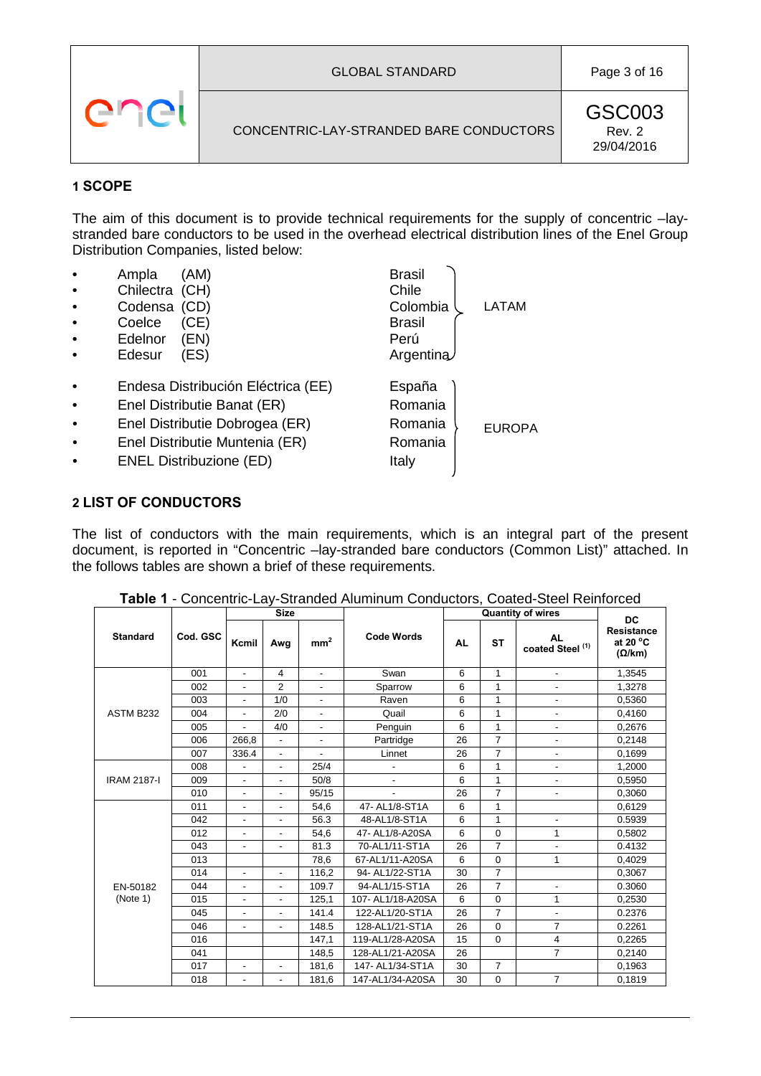# <span id="page-2-0"></span>**1 SCOPE**

The aim of this document is to provide technical requirements for the supply of concentric –laystranded bare conductors to be used in the overhead electrical distribution lines of the Enel Group Distribution Companies, listed below:

LATAM

EUROPA

- e Ampla (AM) Brasil<br>
Chilectra (CH) Chile
- Chilectra (CH)
- Codensa (CD) Colombia
- Coelce (CE) Brasil
- Edelnor (EN) Perú
- Edesur (ES) Argentina
- Endesa Distribución Eléctrica (EE) España
- **Enel Distributie Banat (ER)** Romania
- Enel Distributie Dobrogea (ER) Romania
- **Enel Distributie Muntenia (ER)** Romania
- <span id="page-2-1"></span>**ENEL Distribuzione (ED)** Italy

# **2 LIST OF CONDUCTORS**

The list of conductors with the main requirements, which is an integral part of the present document, is reported in "Concentric –lay-stranded bare conductors (Common List)" attached. In the follows tables are shown a brief of these requirements.

|                    |          | <b>Size</b>              |                          |                          | <b>Quantity of wires</b> |           |                | <b>DC</b>                                |                                                          |
|--------------------|----------|--------------------------|--------------------------|--------------------------|--------------------------|-----------|----------------|------------------------------------------|----------------------------------------------------------|
| <b>Standard</b>    | Cod. GSC | Kcmil                    | Awg                      | mm <sup>2</sup>          | <b>Code Words</b>        | <b>AL</b> | <b>ST</b>      | <b>AL</b><br>coated Steel <sup>(1)</sup> | <b>Resistance</b><br>at 20 $^{\circ}$ C<br>$(\Omega/km)$ |
|                    | 001      | $\overline{a}$           | 4                        | $\blacksquare$           | Swan                     | 6         | $\mathbf{1}$   | $\blacksquare$                           | 1,3545                                                   |
|                    | 002      | $\overline{\phantom{a}}$ | 2                        | $\overline{\phantom{a}}$ | Sparrow                  | 6         | 1              | $\overline{\phantom{0}}$                 | 1,3278                                                   |
|                    | 003      |                          | 1/0                      |                          | Raven                    | 6         | $\mathbf{1}$   | -                                        | 0,5360                                                   |
| ASTM B232          | 004      | $\blacksquare$           | 2/0                      | $\blacksquare$           | Quail                    | 6         | 1              | ٠                                        | 0.4160                                                   |
|                    | 005      |                          | 4/0                      | $\blacksquare$           | Penguin                  | 6         | 1              | $\overline{\phantom{0}}$                 | 0,2676                                                   |
|                    | 006      | 266,8                    | ä,                       | $\blacksquare$           | Partridge                | 26        | $\overline{7}$ | $\overline{\phantom{0}}$                 | 0,2148                                                   |
|                    | 007      | 336.4                    | $\overline{\phantom{a}}$ | $\overline{\phantom{a}}$ | Linnet                   | 26        | $\overline{7}$ | $\overline{\phantom{0}}$                 | 0.1699                                                   |
|                    | 008      |                          | $\overline{\phantom{a}}$ | 25/4                     | ٠                        | 6         | 1              | $\overline{\phantom{0}}$                 | 1,2000                                                   |
| <b>IRAM 2187-I</b> | 009      | $\blacksquare$           | ٠                        | 50/8                     | $\overline{a}$           | 6         | $\mathbf{1}$   | $\overline{\phantom{0}}$                 | 0,5950                                                   |
|                    | 010      | $\overline{\phantom{a}}$ | $\overline{\phantom{a}}$ | 95/15                    | $\overline{\phantom{a}}$ | 26        | $\overline{7}$ | $\overline{\phantom{0}}$                 | 0,3060                                                   |
|                    | 011      |                          | ٠                        | 54.6                     | 47- AL1/8-ST1A           | 6         | $\mathbf{1}$   |                                          | 0,6129                                                   |
|                    | 042      | $\overline{\phantom{a}}$ | ٠                        | 56.3                     | 48-AL1/8-ST1A            | 6         | $\mathbf{1}$   | $\overline{\phantom{0}}$                 | 0.5939                                                   |
|                    | 012      | $\overline{\phantom{a}}$ | $\overline{\phantom{a}}$ | 54,6                     | 47- AL1/8-A20SA          | 6         | $\mathbf 0$    | $\mathbf{1}$                             | 0,5802                                                   |
|                    | 043      |                          | ٠                        | 81.3                     | 70-AL1/11-ST1A           | 26        | $\overline{7}$ | ÷,                                       | 0.4132                                                   |
|                    | 013      |                          |                          | 78.6                     | 67-AL1/11-A20SA          | 6         | $\mathbf 0$    | 1                                        | 0.4029                                                   |
|                    | 014      |                          | $\overline{\phantom{a}}$ | 116,2                    | 94- AL1/22-ST1A          | 30        | $\overline{7}$ |                                          | 0,3067                                                   |
| EN-50182           | 044      | $\overline{\phantom{a}}$ | ٠                        | 109.7                    | 94-AL1/15-ST1A           | 26        | $\overline{7}$ | $\overline{\phantom{0}}$                 | 0.3060                                                   |
| (Note 1)           | 015      | $\overline{\phantom{a}}$ | $\overline{\phantom{a}}$ | 125,1                    | 107- AL1/18-A20SA        | 6         | $\mathbf 0$    | 1                                        | 0,2530                                                   |
|                    | 045      |                          | ٠                        | 141.4                    | 122-AL1/20-ST1A          | 26        | $\overline{7}$ | ٠                                        | 0.2376                                                   |
|                    | 046      | ٠                        | ٠                        | 148.5                    | 128-AL1/21-ST1A          | 26        | $\Omega$       | $\overline{7}$                           | 0.2261                                                   |
|                    | 016      |                          |                          | 147,1                    | 119-AL1/28-A20SA         | 15        | $\mathbf 0$    | 4                                        | 0,2265                                                   |
|                    | 041      |                          |                          | 148,5                    | 128-AL1/21-A20SA         | 26        |                | $\overline{7}$                           | 0,2140                                                   |
|                    | 017      | $\blacksquare$           | $\blacksquare$           | 181,6                    | 147- AL1/34-ST1A         | 30        | $\overline{7}$ |                                          | 0.1963                                                   |
|                    | 018      | $\overline{\phantom{a}}$ | $\overline{\phantom{a}}$ | 181,6                    | 147-AL1/34-A20SA         | 30        | $\mathbf 0$    | $\overline{7}$                           | 0,1819                                                   |

**Table 1** - Concentric-Lay-Stranded Aluminum Conductors, Coated-Steel Reinforced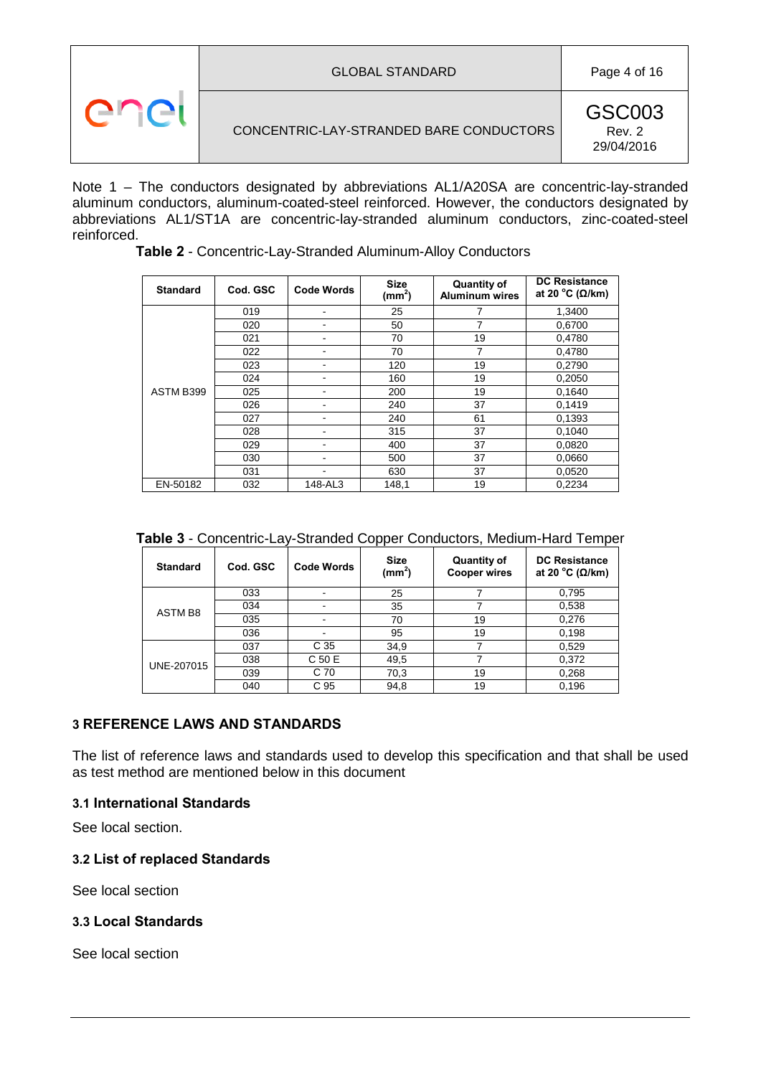| <b>GLOBAL STANDARD</b>                  | Page 4 of 16                   |
|-----------------------------------------|--------------------------------|
| CONCENTRIC-LAY-STRANDED BARE CONDUCTORS | GSC003<br>Rev. 2<br>29/04/2016 |

<span id="page-3-1"></span>Note 1 – The conductors designated by abbreviations AL1/A20SA are concentric-lay-stranded aluminum conductors, aluminum-coated-steel reinforced. However, the conductors designated by abbreviations AL1/ST1A are concentric-lay-stranded aluminum conductors, zinc-coated-steel reinforced.

| <b>Standard</b> | Cod. GSC | <b>Code Words</b> | <b>Size</b><br>(mm <sup>2</sup> ) | <b>Quantity of</b><br>Aluminum wires | <b>DC Resistance</b><br>at 20 °C ( $\Omega$ /km) |
|-----------------|----------|-------------------|-----------------------------------|--------------------------------------|--------------------------------------------------|
|                 | 019      |                   | 25                                |                                      | 1,3400                                           |
|                 | 020      |                   | 50                                |                                      | 0,6700                                           |
|                 | 021      | -                 | 70                                | 19                                   | 0,4780                                           |
|                 | 022      |                   | 70                                | 7                                    | 0,4780                                           |
|                 | 023      |                   | 120                               | 19                                   | 0,2790                                           |
|                 | 024      |                   | 160                               | 19                                   | 0,2050                                           |
| ASTM B399       | 025      |                   | 200                               | 19                                   | 0,1640                                           |
|                 | 026      |                   | 240                               | 37                                   | 0,1419                                           |
|                 | 027      |                   | 240                               | 61                                   | 0,1393                                           |
|                 | 028      |                   | 315                               | 37                                   | 0,1040                                           |
|                 | 029      |                   | 400                               | 37                                   | 0,0820                                           |
|                 | 030      |                   | 500                               | 37                                   | 0,0660                                           |
|                 | 031      |                   | 630                               | 37                                   | 0,0520                                           |
| EN-50182        | 032      | 148-AL3           | 148,1                             | 19                                   | 0,2234                                           |

**Table 2** - Concentric-Lay-Stranded Aluminum-Alloy Conductors

| <b>Standard</b> | Cod. GSC | <b>Code Words</b>        | <b>Size</b><br>$(mm^2)$ | <b>Quantity of</b><br><b>Cooper wires</b> | <b>DC Resistance</b><br>at 20 °C ( $\Omega$ /km) |
|-----------------|----------|--------------------------|-------------------------|-------------------------------------------|--------------------------------------------------|
|                 | 033      | $\blacksquare$           | 25                      |                                           | 0,795                                            |
| ASTM B8         | 034      |                          | 35                      |                                           | 0,538                                            |
|                 | 035      | $\overline{\phantom{a}}$ | 70                      | 19                                        | 0,276                                            |
|                 | 036      |                          | 95                      | 19                                        | 0,198                                            |
| UNE-207015      | 037      | C <sub>35</sub>          | 34,9                    |                                           | 0,529                                            |
|                 | 038      | C 50 E                   | 49,5                    | 7                                         | 0,372                                            |
|                 | 039      | C 70                     | 70,3                    | 19                                        | 0,268                                            |
|                 | 040      | C <sub>95</sub>          | 94,8                    | 19                                        | 0,196                                            |

# <span id="page-3-0"></span>**3 REFERENCE LAWS AND STANDARDS**

The list of reference laws and standards used to develop this specification and that shall be used as test method are mentioned below in this document

### <span id="page-3-2"></span>**3.1 International Standards**

See local section.

### <span id="page-3-3"></span>**3.2 List of replaced Standards**

See local section

### <span id="page-3-4"></span>**3.3 Local Standards**

See local section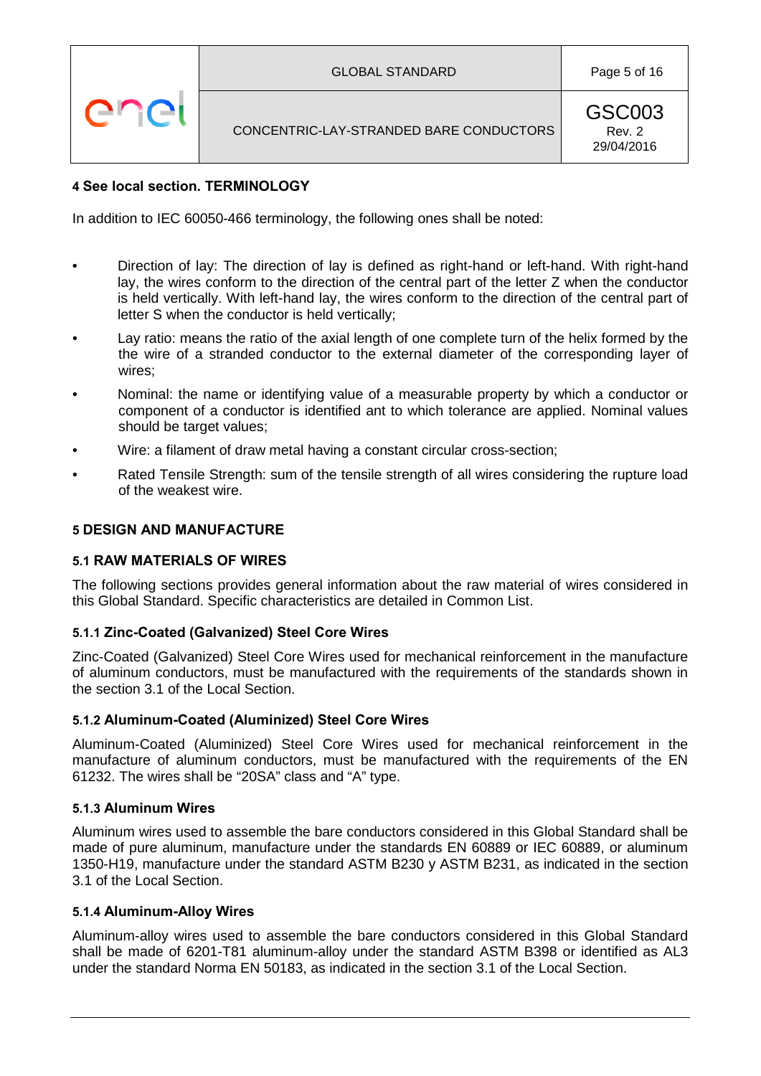# CONCENTRIC-LAY-STRANDED BARE CONDUCTORS

# <span id="page-4-0"></span>**4 See local section. TERMINOLOGY**

enei

In addition to IEC 60050-466 terminology, the following ones shall be noted:

- Direction of lay: The direction of lay is defined as right-hand or left-hand. With right-hand lay, the wires conform to the direction of the central part of the letter Z when the conductor is held vertically. With left-hand lay, the wires conform to the direction of the central part of letter S when the conductor is held vertically;
- Lay ratio: means the ratio of the axial length of one complete turn of the helix formed by the the wire of a stranded conductor to the external diameter of the corresponding layer of wires;
- Nominal: the name or identifying value of a measurable property by which a conductor or component of a conductor is identified ant to which tolerance are applied. Nominal values should be target values;
- Wire: a filament of draw metal having a constant circular cross-section;
- Rated Tensile Strength: sum of the tensile strength of all wires considering the rupture load of the weakest wire.

#### <span id="page-4-1"></span>**5 DESIGN AND MANUFACTURE**

#### **5.1 RAW MATERIALS OF WIRES**

The following sections provides general information about the raw material of wires considered in this Global Standard. Specific characteristics are detailed in Common List.

#### **5.1.1 Zinc-Coated (Galvanized) Steel Core Wires**

Zinc-Coated (Galvanized) Steel Core Wires used for mechanical reinforcement in the manufacture of aluminum conductors, must be manufactured with the requirements of the standards shown in the section 3.1 of the Local Section.

#### **5.1.2 Aluminum-Coated (Aluminized) Steel Core Wires**

Aluminum-Coated (Aluminized) Steel Core Wires used for mechanical reinforcement in the manufacture of aluminum conductors, must be manufactured with the requirements of the EN 61232. The wires shall be "20SA" class and "A" type.

#### **5.1.3 Aluminum Wires**

Aluminum wires used to assemble the bare conductors considered in this Global Standard shall be made of pure aluminum, manufacture under the standards EN 60889 or IEC 60889, or aluminum 1350-H19, manufacture under the standard ASTM B230 y ASTM B231, as indicated in the section 3.1 of the Local Section.

#### **5.1.4 Aluminum-Alloy Wires**

Aluminum-alloy wires used to assemble the bare conductors considered in this Global Standard shall be made of 6201-T81 aluminum-alloy under the standard ASTM B398 or identified as AL3 under the standard Norma EN 50183, as indicated in the section 3.1 of the Local Section.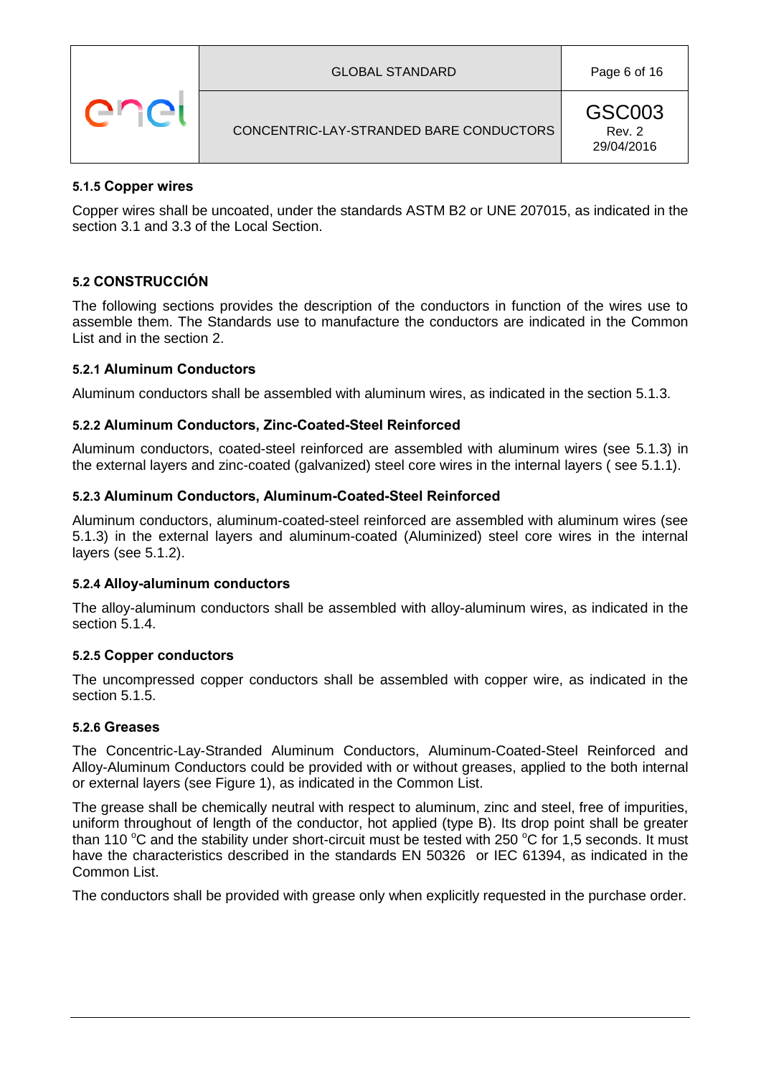|  | <b>GLOBAL STANDARD</b>                  | Page 6 of 16                   |
|--|-----------------------------------------|--------------------------------|
|  | CONCENTRIC-LAY-STRANDED BARE CONDUCTORS | GSC003<br>Rev. 2<br>29/04/2016 |

### <span id="page-5-0"></span>**5.1.5 Copper wires**

Copper wires shall be uncoated, under the standards ASTM B2 or UNE 207015, as indicated in the section 3.1 and 3.3 of the Local Section.

# **5.2 CONSTRUCCIÓN**

The following sections provides the description of the conductors in function of the wires use to assemble them. The Standards use to manufacture the conductors are indicated in the Common List and in the section [2.](#page-2-1)

#### **5.2.1 Aluminum Conductors**

Aluminum conductors shall be assembled with aluminum wires, as indicated in the section 5.1.3.

#### **5.2.2 Aluminum Conductors, Zinc-Coated-Steel Reinforced**

Aluminum conductors, coated-steel reinforced are assembled with aluminum wires (see 5.1.3) in the external layers and zinc-coated (galvanized) steel core wires in the internal layers ( see 5.1.1).

#### **5.2.3 Aluminum Conductors, Aluminum-Coated-Steel Reinforced**

Aluminum conductors, aluminum-coated-steel reinforced are assembled with aluminum wires (see 5.1.3) in the external layers and aluminum-coated (Aluminized) steel core wires in the internal layers (see 5.1.2).

#### **5.2.4 Alloy-aluminum conductors**

The alloy-aluminum conductors shall be assembled with alloy-aluminum wires, as indicated in the section 5.1.4.

#### **5.2.5 Copper conductors**

The uncompressed copper conductors shall be assembled with copper wire, as indicated in the section 5.1.5.

#### <span id="page-5-1"></span>**5.2.6 Greases**

The Concentric-Lay-Stranded Aluminum Conductors, Aluminum-Coated-Steel Reinforced and Alloy-Aluminum Conductors could be provided with or without greases, applied to the both internal or external layers (see Figure 1), as indicated in the Common List.

The grease shall be chemically neutral with respect to aluminum, zinc and steel, free of impurities, uniform throughout of length of the conductor, hot applied (type B). Its drop point shall be greater than 110  $\rm{°C}$  and the stability under short-circuit must be tested with 250  $\rm{°C}$  for 1,5 seconds. It must have the characteristics described in the standards EN 50326 or IEC 61394, as indicated in the Common List.

The conductors shall be provided with grease only when explicitly requested in the purchase order.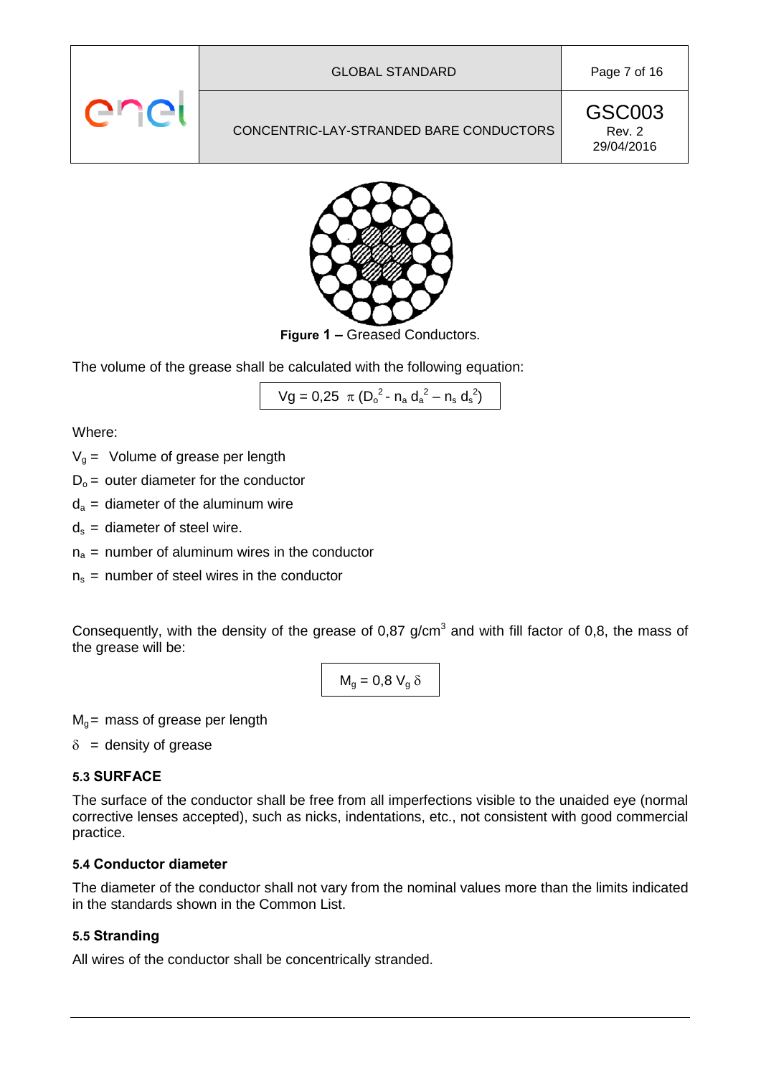# CONCENTRIC-LAY-STRANDED BARE CONDUCTORS

GSC003 Rev. 2 29/04/2016



**Figure 1 –** Greased Conductors.

The volume of the grease shall be calculated with the following equation:

$$
Vg = 0.25 \pi (D_o^2 - n_a d_a^2 - n_s d_s^2)
$$

Where:

- $V<sub>q</sub>$  = Volume of grease per length
- $D_0$  = outer diameter for the conductor
- $d_a$  = diameter of the aluminum wire
- $d_s$  = diameter of steel wire.
- $n_a$  = number of aluminum wires in the conductor
- $n<sub>s</sub>$  = number of steel wires in the conductor

Consequently, with the density of the grease of  $0.87$  g/cm<sup>3</sup> and with fill factor of  $0.8$ , the mass of the grease will be:

$$
M_g=0.8~V_g~\delta
$$

 $M<sub>q</sub>$  = mass of grease per length

 $\delta$  = density of grease

### **5.3 SURFACE**

The surface of the conductor shall be free from all imperfections visible to the unaided eye (normal corrective lenses accepted), such as nicks, indentations, etc., not consistent with good commercial practice.

### **5.4 Conductor diameter**

The diameter of the conductor shall not vary from the nominal values more than the limits indicated in the standards shown in the Common List.

### <span id="page-6-0"></span>**5.5 Stranding**

All wires of the conductor shall be concentrically stranded.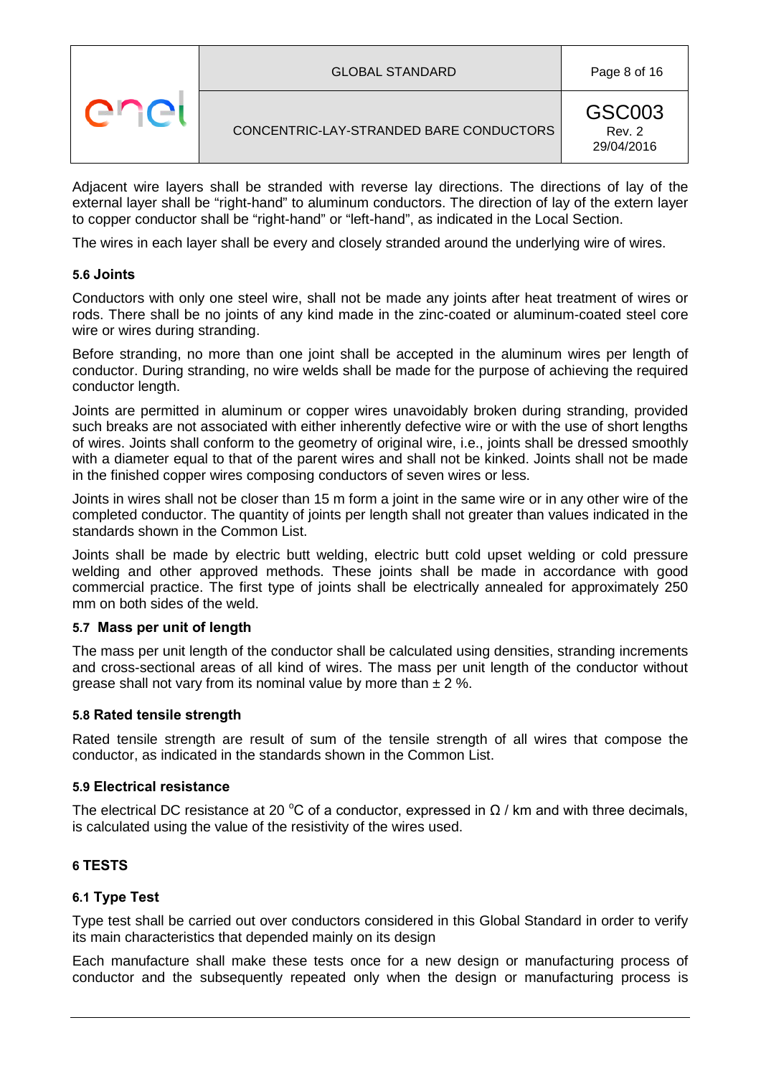|  | <b>GLOBAL STANDARD</b>                  | Page 8 of 16                   |
|--|-----------------------------------------|--------------------------------|
|  | CONCENTRIC-LAY-STRANDED BARE CONDUCTORS | GSC003<br>Rev. 2<br>29/04/2016 |

Adjacent wire layers shall be stranded with reverse lay directions. The directions of lay of the external layer shall be "right-hand" to aluminum conductors. The direction of lay of the extern layer to copper conductor shall be "right-hand" or "left-hand", as indicated in the Local Section.

The wires in each layer shall be every and closely stranded around the underlying wire of wires.

### **5.6 Joints**

Conductors with only one steel wire, shall not be made any joints after heat treatment of wires or rods. There shall be no joints of any kind made in the zinc-coated or aluminum-coated steel core wire or wires during stranding.

Before stranding, no more than one joint shall be accepted in the aluminum wires per length of conductor. During stranding, no wire welds shall be made for the purpose of achieving the required conductor length.

Joints are permitted in aluminum or copper wires unavoidably broken during stranding, provided such breaks are not associated with either inherently defective wire or with the use of short lengths of wires. Joints shall conform to the geometry of original wire, i.e., joints shall be dressed smoothly with a diameter equal to that of the parent wires and shall not be kinked. Joints shall not be made in the finished copper wires composing conductors of seven wires or less.

Joints in wires shall not be closer than 15 m form a joint in the same wire or in any other wire of the completed conductor. The quantity of joints per length shall not greater than values indicated in the standards shown in the Common List.

Joints shall be made by electric butt welding, electric butt cold upset welding or cold pressure welding and other approved methods. These joints shall be made in accordance with good commercial practice. The first type of joints shall be electrically annealed for approximately 250 mm on both sides of the weld.

#### **5.7 Mass per unit of length**

The mass per unit length of the conductor shall be calculated using densities, stranding increments and cross-sectional areas of all kind of wires. The mass per unit length of the conductor without grease shall not vary from its nominal value by more than  $\pm 2$  %.

### **5.8 Rated tensile strength**

Rated tensile strength are result of sum of the tensile strength of all wires that compose the conductor, as indicated in the standards shown in the Common List.

#### **5.9 Electrical resistance**

The electrical DC resistance at 20 °C of a conductor, expressed in  $\Omega$  / km and with three decimals, is calculated using the value of the resistivity of the wires used.

### <span id="page-7-0"></span>**6 TESTS**

### <span id="page-7-1"></span>**6.1 Type Test**

Type test shall be carried out over conductors considered in this Global Standard in order to verify its main characteristics that depended mainly on its design

Each manufacture shall make these tests once for a new design or manufacturing process of conductor and the subsequently repeated only when the design or manufacturing process is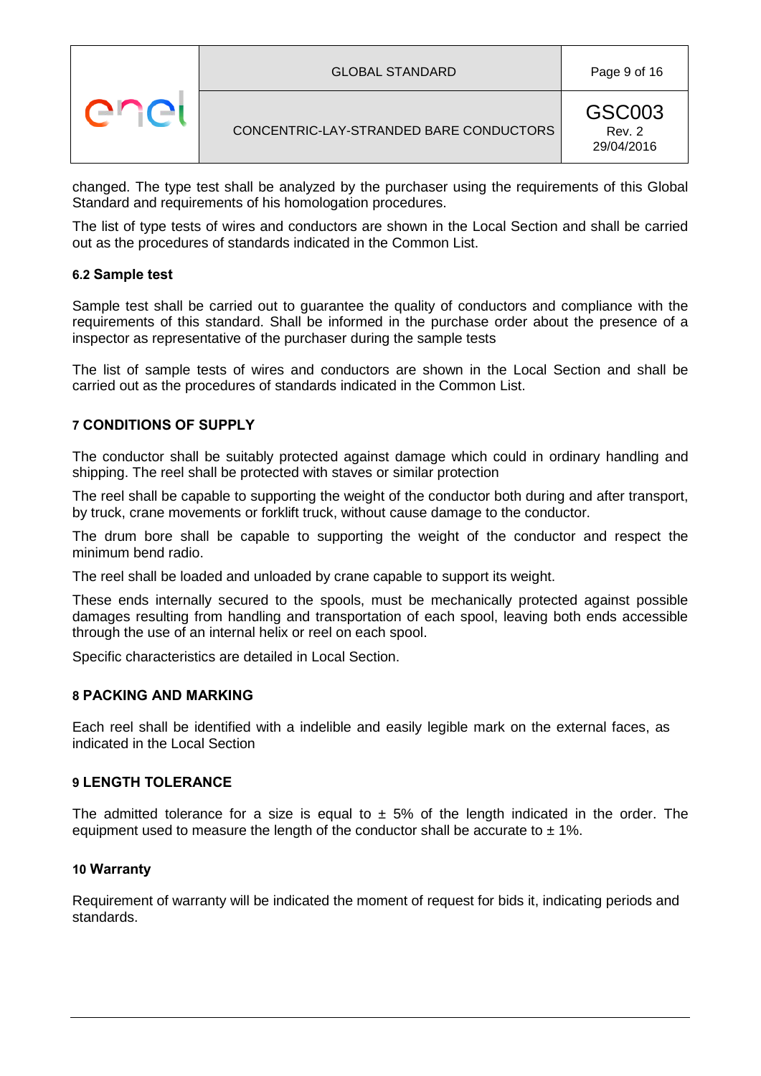|  | <b>GLOBAL STANDARD</b>                  | Page 9 of 16                   |
|--|-----------------------------------------|--------------------------------|
|  | CONCENTRIC-LAY-STRANDED BARE CONDUCTORS | GSC003<br>Rev. 2<br>29/04/2016 |

changed. The type test shall be analyzed by the purchaser using the requirements of this Global Standard and requirements of his homologation procedures.

The list of type tests of wires and conductors are shown in the Local Section and shall be carried out as the procedures of standards indicated in the Common List.

### <span id="page-8-4"></span>**6.2 Sample test**

Sample test shall be carried out to guarantee the quality of conductors and compliance with the requirements of this standard. Shall be informed in the purchase order about the presence of a inspector as representative of the purchaser during the sample tests

The list of sample tests of wires and conductors are shown in the Local Section and shall be carried out as the procedures of standards indicated in the Common List.

#### <span id="page-8-0"></span>**7 CONDITIONS OF SUPPLY**

The conductor shall be suitably protected against damage which could in ordinary handling and shipping. The reel shall be protected with staves or similar protection

The reel shall be capable to supporting the weight of the conductor both during and after transport, by truck, crane movements or forklift truck, without cause damage to the conductor.

The drum bore shall be capable to supporting the weight of the conductor and respect the minimum bend radio.

The reel shall be loaded and unloaded by crane capable to support its weight.

These ends internally secured to the spools, must be mechanically protected against possible damages resulting from handling and transportation of each spool, leaving both ends accessible through the use of an internal helix or reel on each spool.

Specific characteristics are detailed in Local Section.

#### <span id="page-8-1"></span>**8 PACKING AND MARKING**

Each reel shall be identified with a indelible and easily legible mark on the external faces, as indicated in the Local Section

#### <span id="page-8-2"></span>**9 LENGTH TOLERANCE**

The admitted tolerance for a size is equal to  $\pm$  5% of the length indicated in the order. The equipment used to measure the length of the conductor shall be accurate to  $\pm$  1%.

#### <span id="page-8-3"></span>**10 Warranty**

Requirement of warranty will be indicated the moment of request for bids it, indicating periods and standards.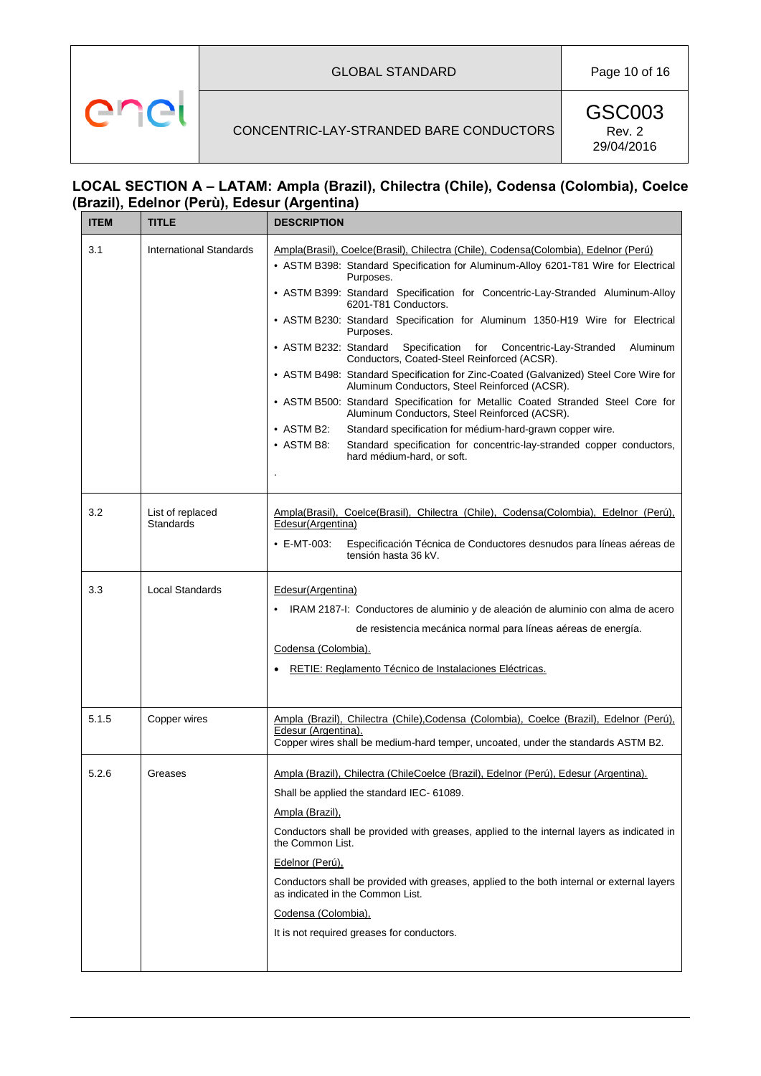#### GLOBAL STANDARD Page 10 of 16

# CONCENTRIC-LAY-STRANDED BARE CONDUCTORS

enei

GSC003 Rev. 2 29/04/2016

# **LOCAL SECTION A – LATAM: Ampla (Brazil), Chilectra (Chile), Codensa (Colombia), Coelce (Brazil), Edelnor (Perù), Edesur (Argentina)**

| <b>ITEM</b> | <b>TITLE</b>                         | <b>DESCRIPTION</b>                                                                                                                    |
|-------------|--------------------------------------|---------------------------------------------------------------------------------------------------------------------------------------|
| 3.1         | <b>International Standards</b>       | Ampla(Brasil), Coelce(Brasil), Chilectra (Chile), Codensa(Colombia), Edelnor (Perú)                                                   |
|             |                                      | • ASTM B398: Standard Specification for Aluminum-Alloy 6201-T81 Wire for Electrical<br>Purposes.                                      |
|             |                                      | • ASTM B399: Standard Specification for Concentric-Lay-Stranded Aluminum-Alloy<br>6201-T81 Conductors.                                |
|             |                                      | • ASTM B230: Standard Specification for Aluminum 1350-H19 Wire for Electrical<br>Purposes.                                            |
|             |                                      | • ASTM B232: Standard<br>Specification for<br>Concentric-Lay-Stranded<br>Aluminum<br>Conductors, Coated-Steel Reinforced (ACSR).      |
|             |                                      | • ASTM B498: Standard Specification for Zinc-Coated (Galvanized) Steel Core Wire for<br>Aluminum Conductors, Steel Reinforced (ACSR). |
|             |                                      | • ASTM B500: Standard Specification for Metallic Coated Stranded Steel Core for<br>Aluminum Conductors, Steel Reinforced (ACSR).      |
|             |                                      | $\bullet$ ASTM B2:<br>Standard specification for médium-hard-grawn copper wire.                                                       |
|             |                                      | $\bullet$ ASTM B8:<br>Standard specification for concentric-lay-stranded copper conductors,<br>hard médium-hard, or soft.             |
|             |                                      |                                                                                                                                       |
| 3.2         | List of replaced<br><b>Standards</b> | Ampla(Brasil), Coelce(Brasil), Chilectra (Chile), Codensa(Colombia), Edelnor (Perú),<br>Edesur(Argentina)                             |
|             |                                      |                                                                                                                                       |
|             |                                      | $\cdot$ E-MT-003:<br>Especificación Técnica de Conductores desnudos para líneas aéreas de<br>tensión hasta 36 kV.                     |
| 3.3         | <b>Local Standards</b>               | Edesur(Argentina)                                                                                                                     |
|             |                                      | IRAM 2187-l: Conductores de aluminio y de aleación de aluminio con alma de acero                                                      |
|             |                                      | de resistencia mecánica normal para líneas aéreas de energía.                                                                         |
|             |                                      | Codensa (Colombia).                                                                                                                   |
|             |                                      | RETIE: Reglamento Técnico de Instalaciones Eléctricas.                                                                                |
|             |                                      |                                                                                                                                       |
| 5.1.5       | Copper wires                         | Ampla (Brazil), Chilectra (Chile), Codensa (Colombia), Coelce (Brazil), Edelnor (Perú),                                               |
|             |                                      | Edesur (Argentina).<br>Copper wires shall be medium-hard temper, uncoated, under the standards ASTM B2.                               |
| 5.2.6       | Greases                              | Ampla (Brazil), Chilectra (ChileCoelce (Brazil), Edelnor (Perú), Edesur (Argentina).                                                  |
|             |                                      | Shall be applied the standard IEC- 61089.                                                                                             |
|             |                                      | Ampla (Brazil),                                                                                                                       |
|             |                                      | Conductors shall be provided with greases, applied to the internal layers as indicated in<br>the Common List.                         |
|             |                                      | Edelnor (Perú),                                                                                                                       |
|             |                                      | Conductors shall be provided with greases, applied to the both internal or external layers<br>as indicated in the Common List.        |
|             |                                      | Codensa (Colombia),                                                                                                                   |
|             |                                      | It is not required greases for conductors.                                                                                            |
|             |                                      |                                                                                                                                       |
|             |                                      |                                                                                                                                       |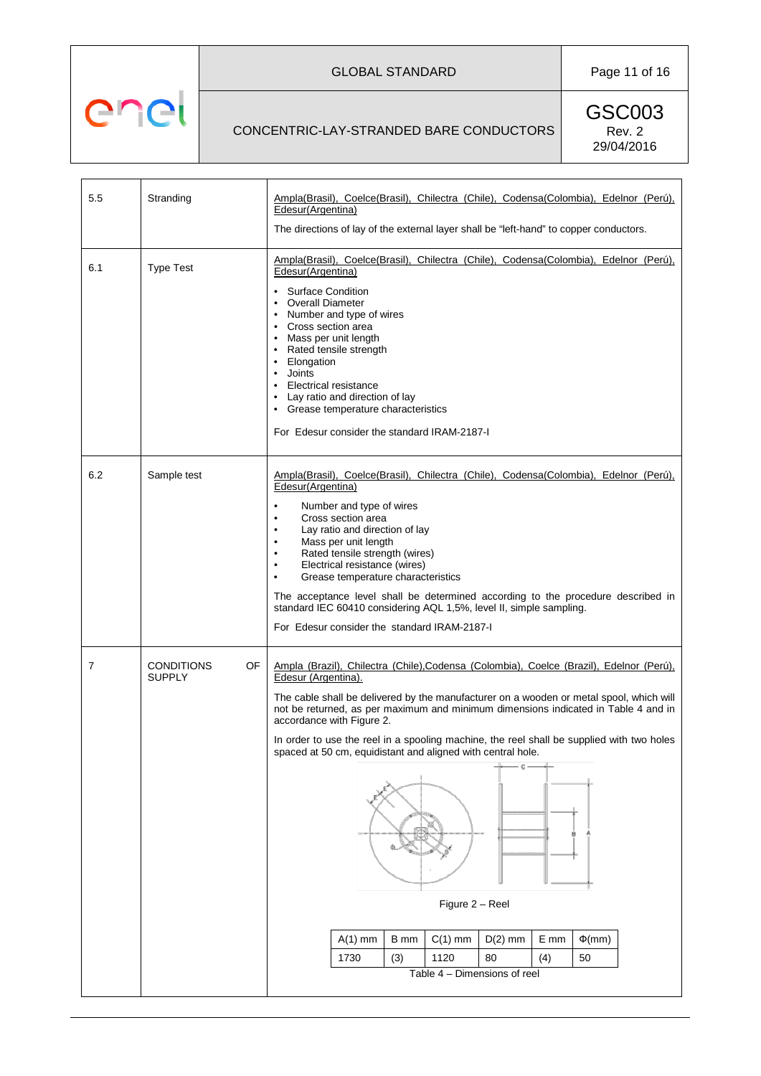# GLOBAL STANDARD Page 11 of 16

### CONCENTRIC-LAY-STRANDED BARE CONDUCTORS

enel

| 5.5 | Stranding                                | Ampla(Brasil), Coelce(Brasil), Chilectra (Chile), Codensa(Colombia), Edelnor (Perú),<br>Edesur(Argentina)                                                                                                                                                                                                                                                                                                                                                                                                                                 |             |  |  |  |  |  |  |  |  |  |  |  |
|-----|------------------------------------------|-------------------------------------------------------------------------------------------------------------------------------------------------------------------------------------------------------------------------------------------------------------------------------------------------------------------------------------------------------------------------------------------------------------------------------------------------------------------------------------------------------------------------------------------|-------------|--|--|--|--|--|--|--|--|--|--|--|
|     |                                          | The directions of lay of the external layer shall be "left-hand" to copper conductors.                                                                                                                                                                                                                                                                                                                                                                                                                                                    |             |  |  |  |  |  |  |  |  |  |  |  |
| 6.1 | <b>Type Test</b>                         | Ampla(Brasil), Coelce(Brasil), Chilectra (Chile), Codensa(Colombia), Edelnor (Perú),<br>Edesur(Argentina)                                                                                                                                                                                                                                                                                                                                                                                                                                 |             |  |  |  |  |  |  |  |  |  |  |  |
|     |                                          | <b>Overall Diameter</b><br>Number and type of wires<br>• Cross section area<br>Mass per unit length<br>• Rated tensile strength<br>Elongation<br>Joints<br><b>Electrical resistance</b><br>• Lay ratio and direction of lay<br>• Grease temperature characteristics<br>For Edesur consider the standard IRAM-2187-I                                                                                                                                                                                                                       |             |  |  |  |  |  |  |  |  |  |  |  |
| 6.2 | Sample test                              | Ampla(Brasil), Coelce(Brasil), Chilectra (Chile), Codensa(Colombia), Edelnor (Perú),<br>Edesur(Argentina)<br>Number and type of wires<br>Cross section area<br>Lay ratio and direction of lay<br>Mass per unit length<br>Rated tensile strength (wires)<br>Electrical resistance (wires)<br>Grease temperature characteristics<br>The acceptance level shall be determined according to the procedure described in<br>standard IEC 60410 considering AQL 1,5%, level II, simple sampling.<br>For Edesur consider the standard IRAM-2187-I |             |  |  |  |  |  |  |  |  |  |  |  |
| 7   | <b>CONDITIONS</b><br>OF<br><b>SUPPLY</b> | Ampla (Brazil), Chilectra (Chile), Codensa (Colombia), Coelce (Brazil), Edelnor (Perú),<br>Edesur (Argentina).                                                                                                                                                                                                                                                                                                                                                                                                                            |             |  |  |  |  |  |  |  |  |  |  |  |
|     |                                          | The cable shall be delivered by the manufacturer on a wooden or metal spool, which will<br>not be returned, as per maximum and minimum dimensions indicated in Table 4 and in<br>accordance with Figure 2.                                                                                                                                                                                                                                                                                                                                |             |  |  |  |  |  |  |  |  |  |  |  |
|     |                                          | In order to use the reel in a spooling machine, the reel shall be supplied with two holes<br>spaced at 50 cm, equidistant and aligned with central hole.                                                                                                                                                                                                                                                                                                                                                                                  |             |  |  |  |  |  |  |  |  |  |  |  |
|     |                                          |                                                                                                                                                                                                                                                                                                                                                                                                                                                                                                                                           |             |  |  |  |  |  |  |  |  |  |  |  |
|     |                                          | Figure 2 - Reel                                                                                                                                                                                                                                                                                                                                                                                                                                                                                                                           |             |  |  |  |  |  |  |  |  |  |  |  |
|     |                                          | $A(1)$ mm<br>B mm<br>$D(2)$ mm<br>E mm<br>$C(1)$ mm                                                                                                                                                                                                                                                                                                                                                                                                                                                                                       | $\Phi$ (mm) |  |  |  |  |  |  |  |  |  |  |  |
|     |                                          | 1730<br>1120<br>80<br>(3)<br>(4)                                                                                                                                                                                                                                                                                                                                                                                                                                                                                                          | 50          |  |  |  |  |  |  |  |  |  |  |  |
|     |                                          | Table 4 - Dimensions of reel                                                                                                                                                                                                                                                                                                                                                                                                                                                                                                              |             |  |  |  |  |  |  |  |  |  |  |  |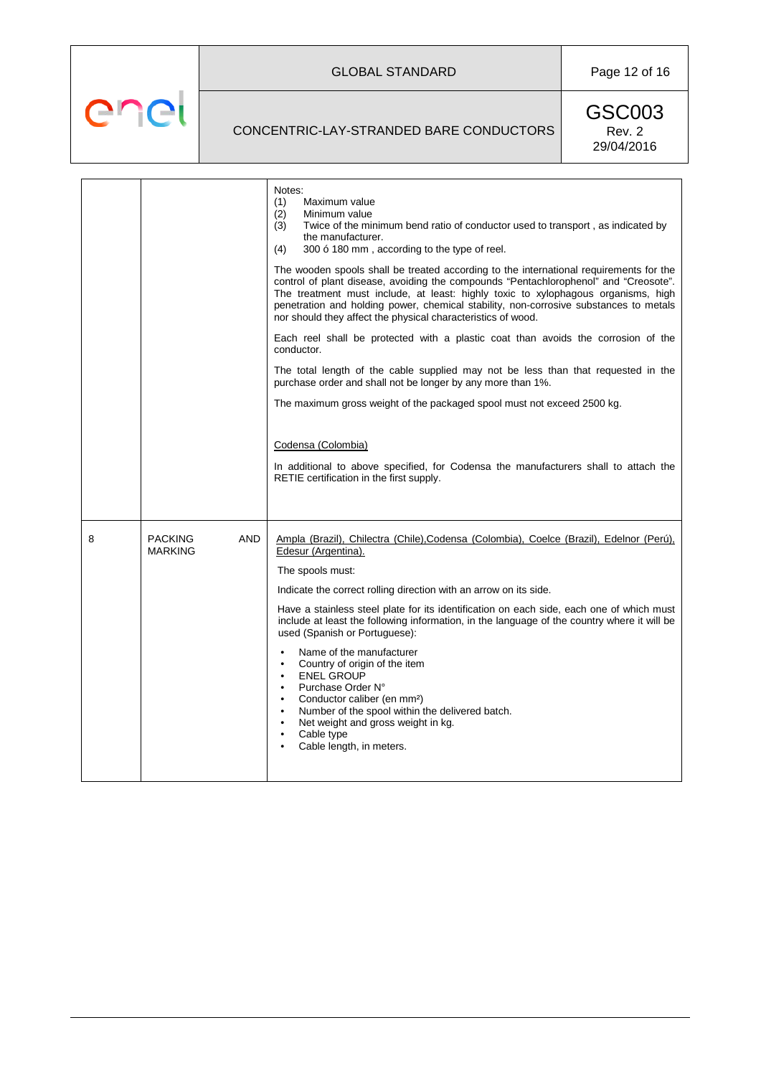GLOBAL STANDARD Page 12 of 16

# CONCENTRIC-LAY-STRANDED BARE CONDUCTORS

enel

|   |                                         | Notes:<br>(1)<br>Maximum value<br>(2)<br>Minimum value<br>Twice of the minimum bend ratio of conductor used to transport, as indicated by<br>(3)<br>the manufacturer.<br>300 ó 180 mm, according to the type of reel.<br>(4)                                                                                                                                                                                                 |
|---|-----------------------------------------|------------------------------------------------------------------------------------------------------------------------------------------------------------------------------------------------------------------------------------------------------------------------------------------------------------------------------------------------------------------------------------------------------------------------------|
|   |                                         | The wooden spools shall be treated according to the international requirements for the<br>control of plant disease, avoiding the compounds "Pentachlorophenol" and "Creosote".<br>The treatment must include, at least: highly toxic to xylophagous organisms, high<br>penetration and holding power, chemical stability, non-corrosive substances to metals<br>nor should they affect the physical characteristics of wood. |
|   |                                         | Each reel shall be protected with a plastic coat than avoids the corrosion of the<br>conductor.                                                                                                                                                                                                                                                                                                                              |
|   |                                         | The total length of the cable supplied may not be less than that requested in the<br>purchase order and shall not be longer by any more than 1%.                                                                                                                                                                                                                                                                             |
|   |                                         | The maximum gross weight of the packaged spool must not exceed 2500 kg.                                                                                                                                                                                                                                                                                                                                                      |
|   |                                         | Codensa (Colombia)<br>In additional to above specified, for Codensa the manufacturers shall to attach the<br>RETIE certification in the first supply.                                                                                                                                                                                                                                                                        |
|   |                                         |                                                                                                                                                                                                                                                                                                                                                                                                                              |
| 8 | <b>PACKING</b><br>AND<br><b>MARKING</b> | Ampla (Brazil), Chilectra (Chile), Codensa (Colombia), Coelce (Brazil), Edelnor (Perú),<br>Edesur (Argentina).                                                                                                                                                                                                                                                                                                               |
|   |                                         | The spools must:                                                                                                                                                                                                                                                                                                                                                                                                             |
|   |                                         | Indicate the correct rolling direction with an arrow on its side.                                                                                                                                                                                                                                                                                                                                                            |
|   |                                         | Have a stainless steel plate for its identification on each side, each one of which must<br>include at least the following information, in the language of the country where it will be<br>used (Spanish or Portuguese):                                                                                                                                                                                                     |
|   |                                         | Name of the manufacturer<br>$\bullet$<br>Country of origin of the item<br>$\bullet$<br><b>ENEL GROUP</b><br>$\bullet$<br>Purchase Order N°<br>$\bullet$<br>Conductor caliber (en mm <sup>2</sup> )<br>$\bullet$<br>Number of the spool within the delivered batch.<br>$\bullet$<br>Net weight and gross weight in kg.<br>$\bullet$<br>Cable type<br>$\bullet$<br>Cable length, in meters.<br>$\bullet$                       |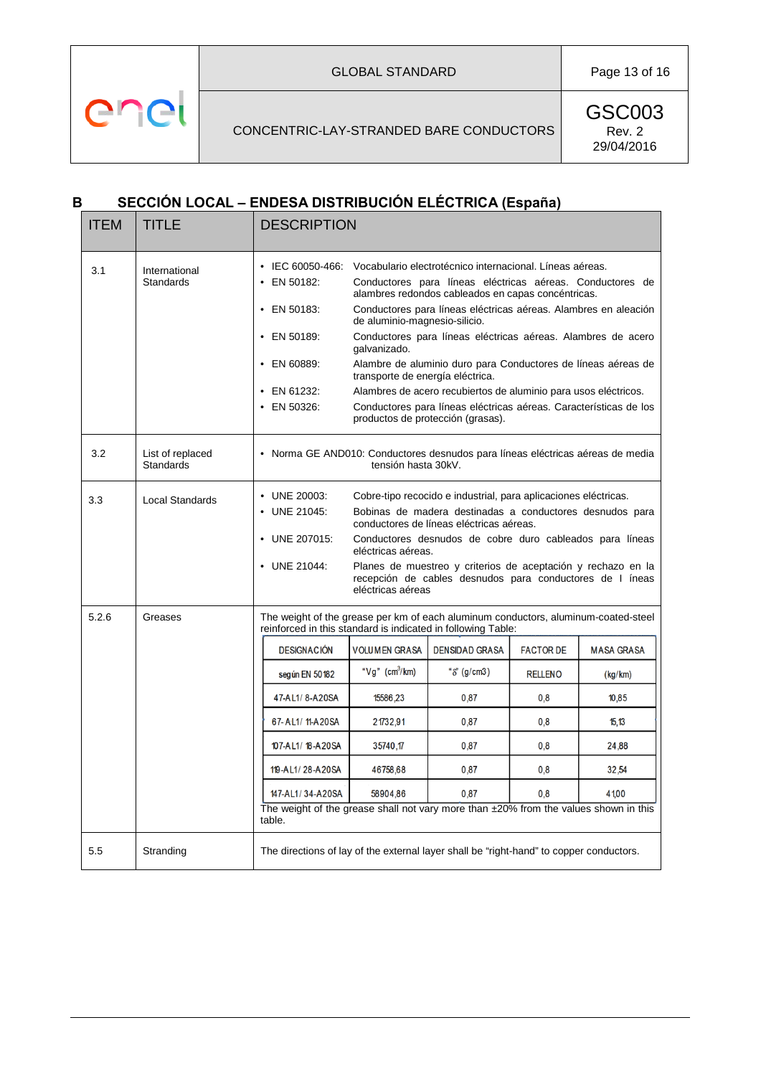GLOBAL STANDARD Page 13 of 16

### CONCENTRIC-LAY-STRANDED BARE CONDUCTORS

GSC003 Rev. 2 29/04/2016

# **B SECCIÓN LOCAL – ENDESA DISTRIBUCIÓN ELÉCTRICA (España)**

enel

| <b>ITEM</b> | <b>TITLE</b>                         | <b>DESCRIPTION</b>                                                                                                                                 |                                                                                                                                                                                                                                                                                                                                                                                                                                                                                                                                                                                                                                                                    |                       |                  |                   |  |  |  |  |  |  |  |  |  |
|-------------|--------------------------------------|----------------------------------------------------------------------------------------------------------------------------------------------------|--------------------------------------------------------------------------------------------------------------------------------------------------------------------------------------------------------------------------------------------------------------------------------------------------------------------------------------------------------------------------------------------------------------------------------------------------------------------------------------------------------------------------------------------------------------------------------------------------------------------------------------------------------------------|-----------------------|------------------|-------------------|--|--|--|--|--|--|--|--|--|
| 3.1         | International<br><b>Standards</b>    | $\cdot$ EN 50182:<br>• EN 50183:<br>EN 50189:<br>EN 60889:<br>EN 61232:<br>EN 50326:                                                               | • IEC 60050-466: Vocabulario electrotécnico internacional. Líneas aéreas.<br>Conductores para líneas eléctricas aéreas. Conductores de<br>alambres redondos cableados en capas concéntricas.<br>Conductores para líneas eléctricas aéreas. Alambres en aleación<br>de aluminio-magnesio-silicio.<br>Conductores para líneas eléctricas aéreas. Alambres de acero<br>galvanizado.<br>Alambre de aluminio duro para Conductores de líneas aéreas de<br>transporte de energía eléctrica.<br>Alambres de acero recubiertos de aluminio para usos eléctricos.<br>Conductores para líneas eléctricas aéreas. Características de los<br>productos de protección (grasas). |                       |                  |                   |  |  |  |  |  |  |  |  |  |
| 3.2         | List of replaced<br><b>Standards</b> | • Norma GE AND010: Conductores desnudos para líneas eléctricas aéreas de media<br>tensión hasta 30kV.                                              |                                                                                                                                                                                                                                                                                                                                                                                                                                                                                                                                                                                                                                                                    |                       |                  |                   |  |  |  |  |  |  |  |  |  |
| 3.3         | <b>Local Standards</b>               | • UNE 20003:<br>UNE 21045:<br>UNE 207015:<br>$\bullet$<br>• UNE 21044:                                                                             | Cobre-tipo recocido e industrial, para aplicaciones eléctricas.<br>Bobinas de madera destinadas a conductores desnudos para<br>conductores de líneas eléctricas aéreas.<br>Conductores desnudos de cobre duro cableados para líneas<br>eléctricas aéreas.<br>Planes de muestreo y criterios de aceptación y rechazo en la<br>recepción de cables desnudos para conductores de I íneas<br>eléctricas aéreas                                                                                                                                                                                                                                                         |                       |                  |                   |  |  |  |  |  |  |  |  |  |
| 5.2.6       | Greases                              | The weight of the grease per km of each aluminum conductors, aluminum-coated-steel<br>reinforced in this standard is indicated in following Table: |                                                                                                                                                                                                                                                                                                                                                                                                                                                                                                                                                                                                                                                                    |                       |                  |                   |  |  |  |  |  |  |  |  |  |
|             |                                      | <b>DESIGNACIÓN</b>                                                                                                                                 | <b>VOLUMEN GRASA</b>                                                                                                                                                                                                                                                                                                                                                                                                                                                                                                                                                                                                                                               | <b>DENSIDAD GRASA</b> | <b>FACTOR DE</b> | <b>MASA GRASA</b> |  |  |  |  |  |  |  |  |  |
|             |                                      | según EN 50182                                                                                                                                     | " $Vq$ " (cm <sup>3</sup> /km)                                                                                                                                                                                                                                                                                                                                                                                                                                                                                                                                                                                                                                     | " $\delta$ " (g/cm3)  | <b>RELLENO</b>   | (kg/km)           |  |  |  |  |  |  |  |  |  |
|             |                                      | 47-AL1/8-A20SA                                                                                                                                     | 15586,23                                                                                                                                                                                                                                                                                                                                                                                                                                                                                                                                                                                                                                                           | 0.87                  | 0,8              | 10,85             |  |  |  |  |  |  |  |  |  |
|             |                                      | 67-AL1/11-A20SA                                                                                                                                    | 21732,91                                                                                                                                                                                                                                                                                                                                                                                                                                                                                                                                                                                                                                                           | 0,87                  | 0,8              | 15,13             |  |  |  |  |  |  |  |  |  |
|             |                                      | 107-AL1/18-A20SA                                                                                                                                   | 35740,17                                                                                                                                                                                                                                                                                                                                                                                                                                                                                                                                                                                                                                                           | 0,87                  | 0,8              | 24,88             |  |  |  |  |  |  |  |  |  |
|             |                                      | 119-AL1/28-A20SA                                                                                                                                   | 46758,68                                                                                                                                                                                                                                                                                                                                                                                                                                                                                                                                                                                                                                                           | 0,87                  | 0,8              | 32,54             |  |  |  |  |  |  |  |  |  |
|             |                                      | 147-AL1/34-A20SA                                                                                                                                   | 58904,86                                                                                                                                                                                                                                                                                                                                                                                                                                                                                                                                                                                                                                                           | 0.87                  | 0,8              | 41,00             |  |  |  |  |  |  |  |  |  |
|             |                                      | The weight of the grease shall not vary more than ±20% from the values shown in this<br>table.                                                     |                                                                                                                                                                                                                                                                                                                                                                                                                                                                                                                                                                                                                                                                    |                       |                  |                   |  |  |  |  |  |  |  |  |  |
| 5.5         | Stranding                            | The directions of lay of the external layer shall be "right-hand" to copper conductors.                                                            |                                                                                                                                                                                                                                                                                                                                                                                                                                                                                                                                                                                                                                                                    |                       |                  |                   |  |  |  |  |  |  |  |  |  |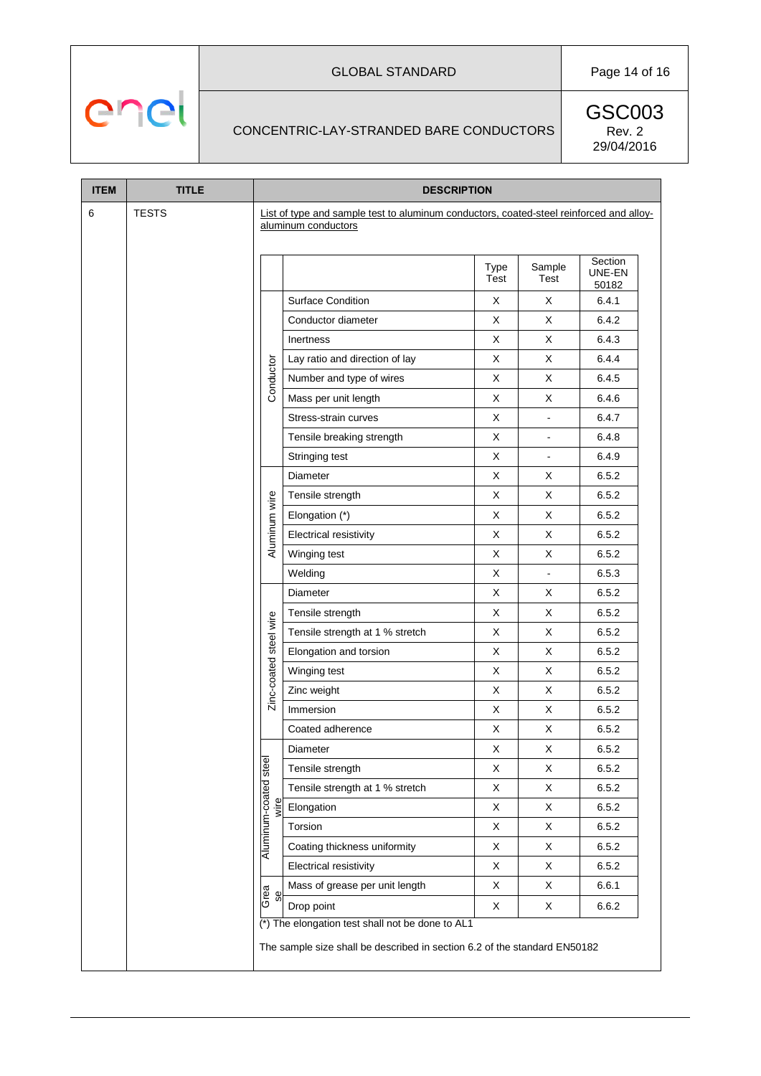# GLOBAL STANDARD Page 14 of 16

# CONCENTRIC-LAY-STRANDED BARE CONDUCTORS

enel

| <b>ITEM</b> | <b>TITLE</b> | <b>DESCRIPTION</b>     |                                                                                                                               |                |                |                            |  |  |  |  |  |  |
|-------------|--------------|------------------------|-------------------------------------------------------------------------------------------------------------------------------|----------------|----------------|----------------------------|--|--|--|--|--|--|
| 6           | <b>TESTS</b> |                        | List of type and sample test to aluminum conductors, coated-steel reinforced and alloy-<br>aluminum conductors                |                |                |                            |  |  |  |  |  |  |
|             |              |                        |                                                                                                                               | Type<br>Test   | Sample<br>Test | Section<br>UNE-EN<br>50182 |  |  |  |  |  |  |
|             |              |                        | <b>Surface Condition</b>                                                                                                      | X              | X              | 6.4.1                      |  |  |  |  |  |  |
|             |              |                        | Conductor diameter                                                                                                            | X              | X              | 6.4.2                      |  |  |  |  |  |  |
|             |              |                        | Inertness                                                                                                                     | X              | X              | 6.4.3                      |  |  |  |  |  |  |
|             |              |                        | Lay ratio and direction of lay                                                                                                | X              | X              | 6.4.4                      |  |  |  |  |  |  |
|             |              | Conductor              | Number and type of wires                                                                                                      | X              | X              | 6.4.5                      |  |  |  |  |  |  |
|             |              |                        | Mass per unit length                                                                                                          | X              | X              | 6.4.6                      |  |  |  |  |  |  |
|             |              |                        | Stress-strain curves                                                                                                          | X              | $\blacksquare$ | 6.4.7                      |  |  |  |  |  |  |
|             |              |                        | Tensile breaking strength                                                                                                     | $\blacksquare$ | 6.4.8          |                            |  |  |  |  |  |  |
|             |              |                        | Stringing test                                                                                                                | X              | $\blacksquare$ | 6.4.9                      |  |  |  |  |  |  |
|             |              |                        | Diameter                                                                                                                      | X              | X              | 6.5.2                      |  |  |  |  |  |  |
|             |              |                        | Tensile strength                                                                                                              | X              | X              | 6.5.2                      |  |  |  |  |  |  |
|             |              | Aluminum wire          | Elongation (*)                                                                                                                | X              | X              | 6.5.2                      |  |  |  |  |  |  |
|             |              |                        | Electrical resistivity                                                                                                        | X              | 6.5.2          |                            |  |  |  |  |  |  |
|             |              |                        | Winging test                                                                                                                  | X              | X              | 6.5.2                      |  |  |  |  |  |  |
|             |              |                        | Welding                                                                                                                       | X              | $\blacksquare$ | 6.5.3                      |  |  |  |  |  |  |
|             |              |                        | Diameter                                                                                                                      | X              | X              | 6.5.2                      |  |  |  |  |  |  |
|             |              |                        | Tensile strength                                                                                                              | X              | X              | 6.5.2                      |  |  |  |  |  |  |
|             |              | Zinc-coated steel wire | Tensile strength at 1 % stretch                                                                                               | X              | X              | 6.5.2                      |  |  |  |  |  |  |
|             |              |                        | Elongation and torsion                                                                                                        | X              | X              | 6.5.2                      |  |  |  |  |  |  |
|             |              |                        | Winging test                                                                                                                  | X              | X              | 6.5.2                      |  |  |  |  |  |  |
|             |              |                        | Zinc weight                                                                                                                   | Χ              | X              | 6.5.2                      |  |  |  |  |  |  |
|             |              |                        | Immersion                                                                                                                     | X              | X              | 6.5.2                      |  |  |  |  |  |  |
|             |              |                        | Coated adherence                                                                                                              | X              | X              | 6.5.2                      |  |  |  |  |  |  |
|             |              |                        | Diameter                                                                                                                      | $\pmb{\times}$ | $\mathsf X$    | 6.5.2                      |  |  |  |  |  |  |
|             |              | Aluminum-coated steel  | Tensile strength                                                                                                              | Χ              | X              | 6.5.2                      |  |  |  |  |  |  |
|             |              |                        | Tensile strength at 1 % stretch                                                                                               | X              | X              | 6.5.2                      |  |  |  |  |  |  |
|             |              |                        | Elongation                                                                                                                    | X              | X              | 6.5.2                      |  |  |  |  |  |  |
|             |              |                        | Torsion                                                                                                                       | X              | X              | 6.5.2                      |  |  |  |  |  |  |
|             |              |                        | Coating thickness uniformity                                                                                                  | X              | X              | 6.5.2                      |  |  |  |  |  |  |
|             |              |                        | <b>Electrical resistivity</b>                                                                                                 | X              | X              | 6.5.2                      |  |  |  |  |  |  |
|             |              |                        | Mass of grease per unit length                                                                                                | X              | X              | 6.6.1                      |  |  |  |  |  |  |
|             |              | Grea                   | Drop point                                                                                                                    | X              | X              | 6.6.2                      |  |  |  |  |  |  |
|             |              |                        | (*) The elongation test shall not be done to AL1<br>The sample size shall be described in section 6.2 of the standard EN50182 |                |                |                            |  |  |  |  |  |  |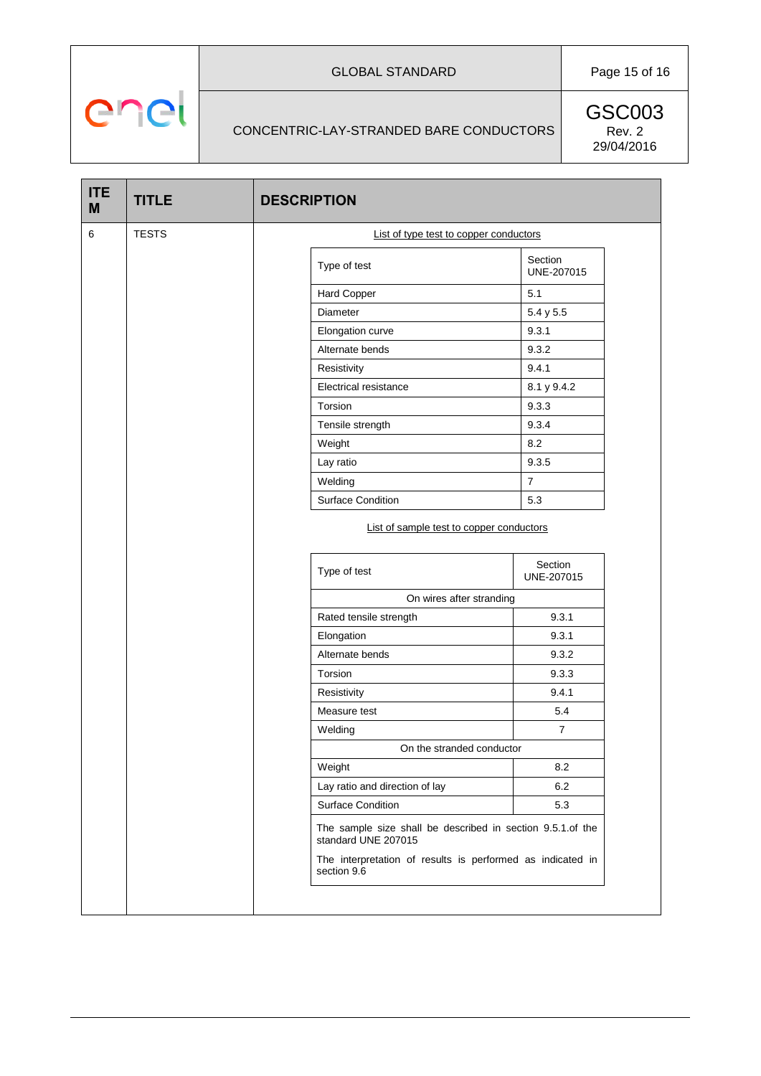# GLOBAL STANDARD Page 15 of 16

## CONCENTRIC-LAY-STRANDED BARE CONDUCTORS

enel

|   |              | <b>DESCRIPTION</b>                                                                                            |                       |  |  |  |  |
|---|--------------|---------------------------------------------------------------------------------------------------------------|-----------------------|--|--|--|--|
| 6 | <b>TESTS</b> | List of type test to copper conductors                                                                        |                       |  |  |  |  |
|   |              | Type of test                                                                                                  | Section<br>UNE-207015 |  |  |  |  |
|   |              | Hard Copper                                                                                                   | 5.1                   |  |  |  |  |
|   |              | Diameter                                                                                                      | 5.4 y 5.5             |  |  |  |  |
|   |              | Elongation curve                                                                                              | 9.3.1                 |  |  |  |  |
|   |              | Alternate bends                                                                                               | 9.3.2                 |  |  |  |  |
|   |              | Resistivity                                                                                                   | 9.4.1                 |  |  |  |  |
|   |              | Electrical resistance                                                                                         | 8.1 y 9.4.2           |  |  |  |  |
|   |              | Torsion                                                                                                       | 9.3.3                 |  |  |  |  |
|   |              | Tensile strength                                                                                              | 9.3.4                 |  |  |  |  |
|   |              | Weight                                                                                                        | 8.2                   |  |  |  |  |
|   |              | Lay ratio                                                                                                     | 9.3.5                 |  |  |  |  |
|   |              | Welding                                                                                                       | $\overline{7}$        |  |  |  |  |
|   |              | <b>Surface Condition</b>                                                                                      | 5.3                   |  |  |  |  |
|   |              | Type of test                                                                                                  | Section               |  |  |  |  |
|   |              |                                                                                                               | UNE-207015            |  |  |  |  |
|   |              | On wires after stranding                                                                                      |                       |  |  |  |  |
|   |              | Rated tensile strength                                                                                        | 9.3.1                 |  |  |  |  |
|   |              | Elongation                                                                                                    | 9.3.1                 |  |  |  |  |
|   |              | Alternate bends                                                                                               | 9.3.2                 |  |  |  |  |
|   |              | Torsion                                                                                                       | 9.3.3                 |  |  |  |  |
|   |              | Resistivity                                                                                                   | 9.4.1                 |  |  |  |  |
|   |              | Measure test                                                                                                  | 5.4                   |  |  |  |  |
|   |              | Welding                                                                                                       | $\overline{7}$        |  |  |  |  |
|   |              | On the stranded conductor                                                                                     |                       |  |  |  |  |
|   |              | Weight                                                                                                        | 8.2                   |  |  |  |  |
|   |              | Lay ratio and direction of lay                                                                                | 6.2                   |  |  |  |  |
|   |              | <b>Surface Condition</b><br>The sample size shall be described in section 9.5.1.of the<br>standard UNE 207015 | 5.3                   |  |  |  |  |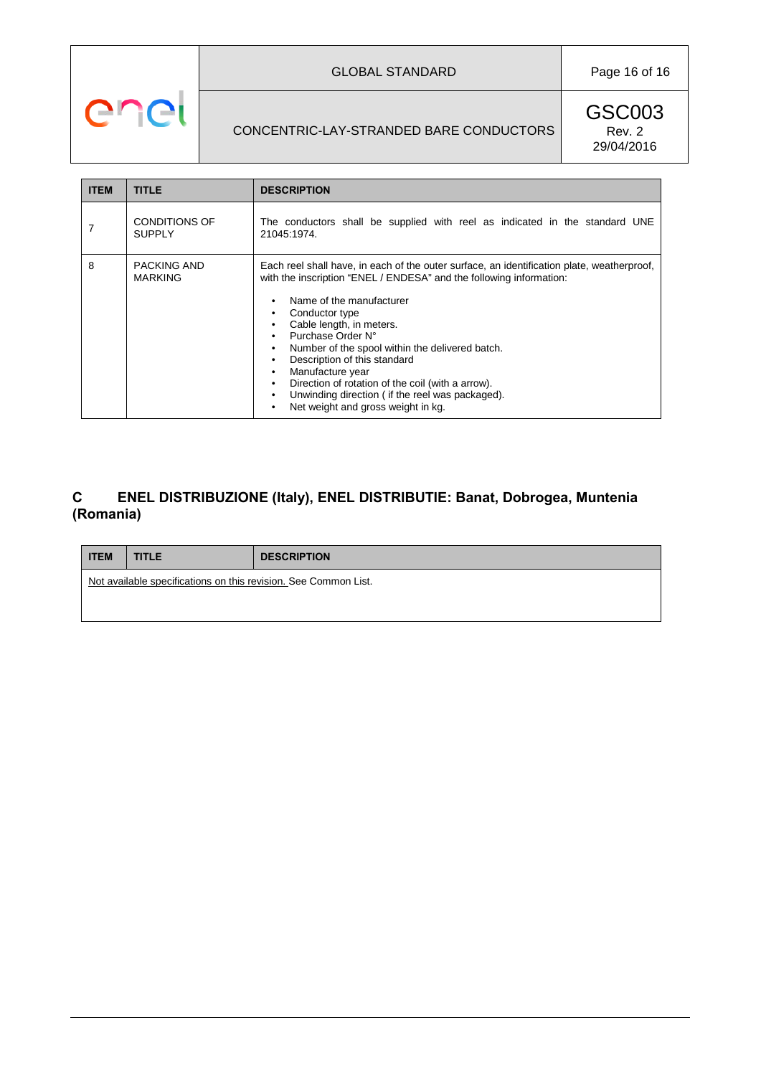# GLOBAL STANDARD Page 16 of 16

# CONCENTRIC-LAY-STRANDED BARE CONDUCTORS

enel

GSC003 Rev. 2 29/04/2016

| <b>ITEM</b> | TITLE                                 | <b>DESCRIPTION</b>                                                                                                                                                                                                                                                                                                                                                                                                                                                                                                    |
|-------------|---------------------------------------|-----------------------------------------------------------------------------------------------------------------------------------------------------------------------------------------------------------------------------------------------------------------------------------------------------------------------------------------------------------------------------------------------------------------------------------------------------------------------------------------------------------------------|
|             | <b>CONDITIONS OF</b><br><b>SUPPLY</b> | The conductors shall be supplied with reel as indicated in the standard UNE<br>21045:1974.                                                                                                                                                                                                                                                                                                                                                                                                                            |
| 8           | PACKING AND<br><b>MARKING</b>         | Each reel shall have, in each of the outer surface, an identification plate, weatherproof,<br>with the inscription "ENEL / ENDESA" and the following information:<br>Name of the manufacturer<br>Conductor type<br>Cable length, in meters.<br>Purchase Order N°<br>Number of the spool within the delivered batch.<br>Description of this standard<br>Manufacture year<br>Direction of rotation of the coil (with a arrow).<br>Unwinding direction (if the reel was packaged).<br>Net weight and gross weight in kg. |

# **C ENEL DISTRIBUZIONE (Italy), ENEL DISTRIBUTIE: Banat, Dobrogea, Muntenia (Romania)**

| <b>I ITEM</b> | <b>TITLE</b>                                                    | <b>DESCRIPTION</b> |
|---------------|-----------------------------------------------------------------|--------------------|
|               | Not available specifications on this revision. See Common List. |                    |
|               |                                                                 |                    |